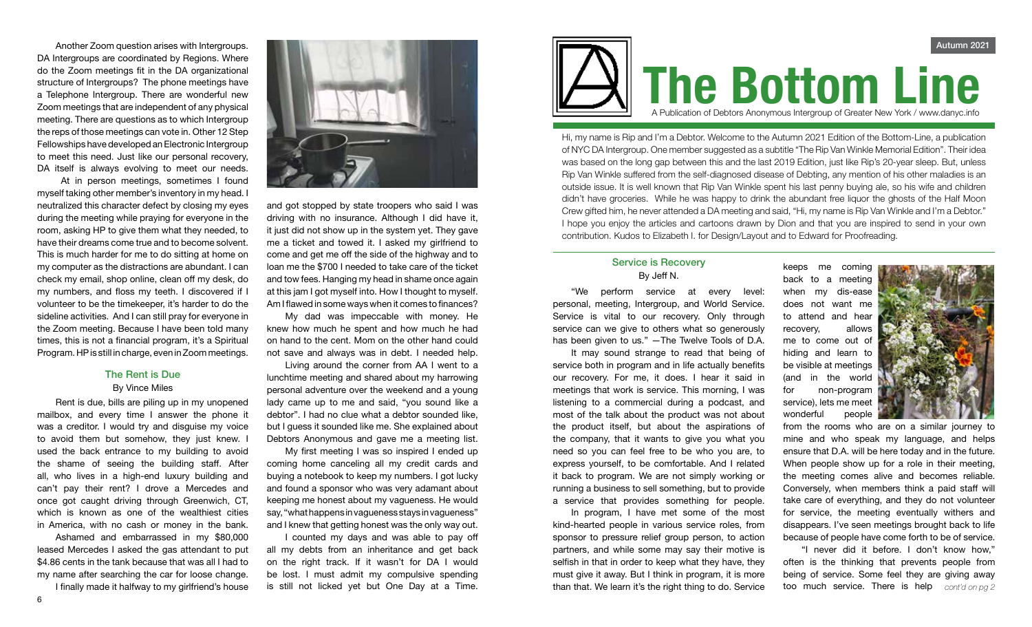Another Zoom question arises with Intergroups. DA Intergroups are coordinated by Regions. Where do the Zoom meetings fit in the DA organizational structure of Intergroups? The phone meetings have a Telephone Intergroup. There are wonderful new Zoom meetings that are independent of any physical meeting. There are questions as to which Intergroup the reps of those meetings can vote in. Other 12 Step Fellowships have developed an Electronic Intergroup to meet this need. Just like our personal recovery, DA itself is always evolving to meet our needs.

 At in person meetings, sometimes I found myself taking other member's inventory in my head. I neutralized this character defect by closing my eyes during the meeting while praying for everyone in the room, asking HP to give them what they needed, to have their dreams come true and to become solvent. This is much harder for me to do sitting at home on my computer as the distractions are abundant. I can check my email, shop online, clean off my desk, do my numbers, and floss my teeth. I discovered if I volunteer to be the timekeeper, it's harder to do the sideline activities. And I can still pray for everyone in the Zoom meeting. Because I have been told many times, this is not a financial program, it's a Spiritual Program. HP is still in charge, even in Zoom meetings.

### The Rent is Due By Vince Miles

Rent is due, bills are piling up in my unopened mailbox, and every time I answer the phone it was a creditor. I would try and disguise my voice to avoid them but somehow, they just knew. I used the back entrance to my building to avoid the shame of seeing the building staff. After all, who lives in a high-end luxury building and can't pay their rent? I drove a Mercedes and once got caught driving through Greenwich, CT, which is known as one of the wealthiest cities in America, with no cash or money in the bank.

Ashamed and embarrassed in my \$80,000 leased Mercedes I asked the gas attendant to put \$4.86 cents in the tank because that was all I had to my name after searching the car for loose change. I finally made it halfway to my girlfriend's house



and got stopped by state troopers who said I was driving with no insurance. Although I did have it, it just did not show up in the system yet. They gave me a ticket and towed it. I asked my girlfriend to come and get me off the side of the highway and to loan me the \$700 I needed to take care of the ticket and tow fees. Hanging my head in shame once again at this jam I got myself into. How I thought to myself. Am I flawed in some ways when it comes to finances?

My dad was impeccable with money. He knew how much he spent and how much he had on hand to the cent. Mom on the other hand could not save and always was in debt. I needed help.

Living around the corner from AA I went to a lunchtime meeting and shared about my harrowing personal adventure over the weekend and a young lady came up to me and said, "you sound like a debtor". I had no clue what a debtor sounded like, but I guess it sounded like me. She explained about Debtors Anonymous and gave me a meeting list.

My first meeting I was so inspired I ended up coming home canceling all my credit cards and buying a notebook to keep my numbers. I got lucky and found a sponsor who was very adamant about keeping me honest about my vagueness. He would say, "what happens in vagueness stays in vagueness" and I knew that getting honest was the only way out.

I counted my days and was able to pay off all my debts from an inheritance and get back on the right track. If it wasn't for DA I would be lost. I must admit my compulsive spending is still not licked yet but One Day at a Time.



Hi, my name is Rip and I'm a Debtor. Welcome to the Autumn 2021 Edition of the Bottom-Line, a publication of NYC DA Intergroup. One member suggested as a subtitle "The Rip Van Winkle Memorial Edition". Their idea was based on the long gap between this and the last 2019 Edition, just like Rip's 20-year sleep. But, unless Rip Van Winkle suffered from the self-diagnosed disease of Debting, any mention of his other maladies is an outside issue. It is well known that Rip Van Winkle spent his last penny buying ale, so his wife and children didn't have groceries. While he was happy to drink the abundant free liquor the ghosts of the Half Moon Crew gifted him, he never attended a DA meeting and said, "Hi, my name is Rip Van Winkle and I'm a Debtor." I hope you enjoy the articles and cartoons drawn by Dion and that you are inspired to send in your own contribution. Kudos to Elizabeth I. for Design/Layout and to Edward for Proofreading.

## Service is Recovery By Jeff N.

"We perform service at every level: personal, meeting, Intergroup, and World Service. Service is vital to our recovery. Only through service can we give to others what so generously has been given to us." —The Twelve Tools of D.A.

It may sound strange to read that being of service both in program and in life actually benefits our recovery. For me, it does. I hear it said in meetings that work is service. This morning, I was listening to a commercial during a podcast, and most of the talk about the product was not about the product itself, but about the aspirations of the company, that it wants to give you what you need so you can feel free to be who you are, to express yourself, to be comfortable. And I related it back to program. We are not simply working or running a business to sell something, but to provide a service that provides something for people.

In program, I have met some of the most kind-hearted people in various service roles, from sponsor to pressure relief group person, to action partners, and while some may say their motive is selfish in that in order to keep what they have, they must give it away. But I think in program, it is more than that. We learn it's the right thing to do. Service

keeps me coming back to a meeting when my dis-ease does not want me to attend and hear recovery, allows me to come out of hiding and learn to be visible at meetings (and in the world for non-program service), lets me meet wonderful people



from the rooms who are on a similar journey to mine and who speak my language, and helps ensure that D.A. will be here today and in the future. When people show up for a role in their meeting, the meeting comes alive and becomes reliable. Conversely, when members think a paid staff will take care of everything, and they do not volunteer for service, the meeting eventually withers and disappears. I've seen meetings brought back to life because of people have come forth to be of service.

"I never did it before. I don't know how," often is the thinking that prevents people from being of service. Some feel they are giving away too much service. There is help *cont'd on pg 2*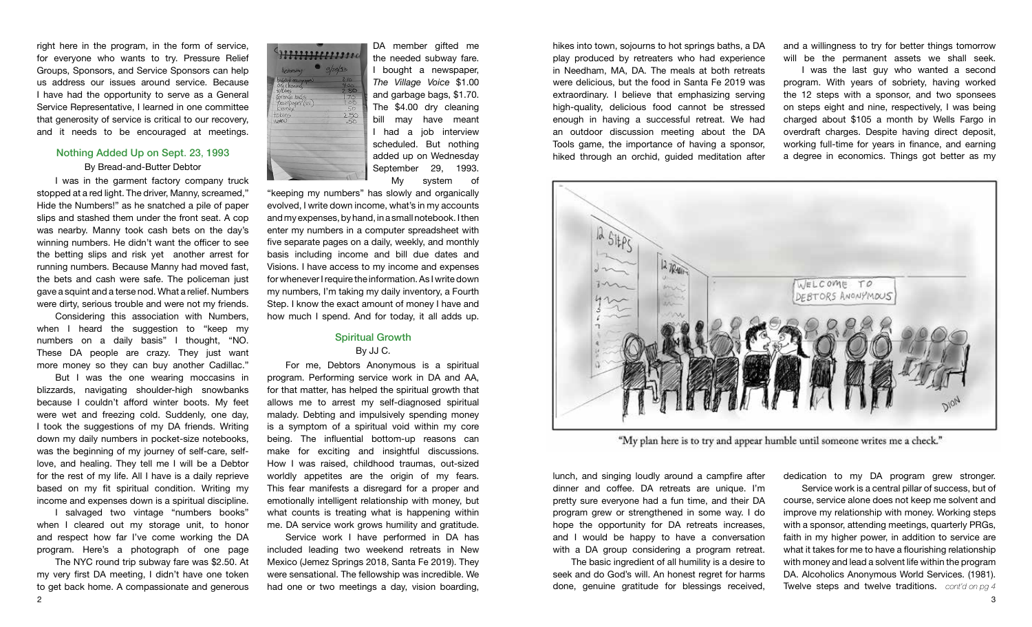right here in the program, in the form of service, for everyone who wants to try. Pressure Relief Groups, Sponsors, and Service Sponsors can help us address our issues around service. Because I have had the opportunity to serve as a General Service Representative, I learned in one committee that generosity of service is critical to our recovery, and it needs to be encouraged at meetings.

## Nothing Added Up on Sept. 23, 1993 By Bread-and-Butter Debtor

I was in the garment factory company truck stopped at a red light. The driver, Manny, screamed," Hide the Numbers!" as he snatched a pile of paper slips and stashed them under the front seat. A cop was nearby. Manny took cash bets on the day's winning numbers. He didn't want the officer to see the betting slips and risk yet another arrest for running numbers. Because Manny had moved fast, the bets and cash were safe. The policeman just gave a squint and a terse nod. What a relief. Numbers were dirty, serious trouble and were not my friends.

Considering this association with Numbers, when I heard the suggestion to "keep my numbers on a daily basis" I thought, "NO. These DA people are crazy. They just want more money so they can buy another Cadillac."

But I was the one wearing moccasins in blizzards, navigating shoulder-high snowbanks because I couldn't afford winter boots. My feet were wet and freezing cold. Suddenly, one day, I took the suggestions of my DA friends. Writing down my daily numbers in pocket-size notebooks, was the beginning of my journey of self-care, selflove, and healing. They tell me I will be a Debtor for the rest of my life. All I have is a daily reprieve based on my fit spiritual condition. Writing my income and expenses down is a spiritual discipline.

I salvaged two vintage "numbers books" when I cleared out my storage unit, to honor and respect how far I've come working the DA program. Here's a photograph of one page

2 денови производите под односите под односите под односите под односите под односите под односите под односите<br>2 денови под односите под односите под односите под односите под односите под односите под односите под однос The NYC round trip subway fare was \$2.50. At my very first DA meeting, I didn't have one token to get back home. A compassionate and generous



DA member gifted me the needed subway fare. I bought a newspaper, *The Village Voice* \$1.00 and garbage bags, \$1.70. The \$4.00 dry cleaning bill may have meant I had a job interview scheduled. But nothing added up on Wednesday September 29, 1993. My system of

"keeping my numbers" has slowly and organically evolved, I write down income, what's in my accounts and my expenses, by hand, in a small notebook. I then enter my numbers in a computer spreadsheet with five separate pages on a daily, weekly, and monthly basis including income and bill due dates and Visions. I have access to my income and expenses for whenever I require the information. As I write down my numbers, I'm taking my daily inventory, a Fourth Step. I know the exact amount of money I have and how much I spend. And for today, it all adds up.

### Spiritual Growth By JJ C.

For me, Debtors Anonymous is a spiritual program. Performing service work in DA and AA, for that matter, has helped the spiritual growth that allows me to arrest my self-diagnosed spiritual malady. Debting and impulsively spending money is a symptom of a spiritual void within my core being. The influential bottom-up reasons can make for exciting and insightful discussions. How I was raised, childhood traumas, out-sized worldly appetites are the origin of my fears. This fear manifests a disregard for a proper and emotionally intelligent relationship with money, but what counts is treating what is happening within me. DA service work grows humility and gratitude.

Service work I have performed in DA has included leading two weekend retreats in New Mexico (Jemez Springs 2018, Santa Fe 2019). They were sensational. The fellowship was incredible. We had one or two meetings a day, vision boarding,

hikes into town, sojourns to hot springs baths, a DA play produced by retreaters who had experience in Needham, MA, DA. The meals at both retreats were delicious, but the food in Santa Fe 2019 was extraordinary. I believe that emphasizing serving high-quality, delicious food cannot be stressed enough in having a successful retreat. We had an outdoor discussion meeting about the DA Tools game, the importance of having a sponsor, hiked through an orchid, guided meditation after

and a willingness to try for better things tomorrow will be the permanent assets we shall seek.

I was the last guy who wanted a second program. With years of sobriety, having worked the 12 steps with a sponsor, and two sponsees on steps eight and nine, respectively, I was being charged about \$105 a month by Wells Fargo in overdraft charges. Despite having direct deposit, working full-time for years in finance, and earning a degree in economics. Things got better as my



"My plan here is to try and appear humble until someone writes me a check."

lunch, and singing loudly around a campfire after dinner and coffee. DA retreats are unique. I'm pretty sure everyone had a fun time, and their DA program grew or strengthened in some way. I do hope the opportunity for DA retreats increases, and I would be happy to have a conversation with a DA group considering a program retreat.

The basic ingredient of all humility is a desire to seek and do God's will. An honest regret for harms done, genuine gratitude for blessings received,

dedication to my DA program grew stronger.

**Twelve steps and twelve traditions.** cont'd on pg 4 Service work is a central pillar of success, but of course, service alone does not keep me solvent and improve my relationship with money. Working steps with a sponsor, attending meetings, quarterly PRGs, faith in my higher power, in addition to service are what it takes for me to have a flourishing relationship with money and lead a solvent life within the program DA. Alcoholics Anonymous World Services. (1981).